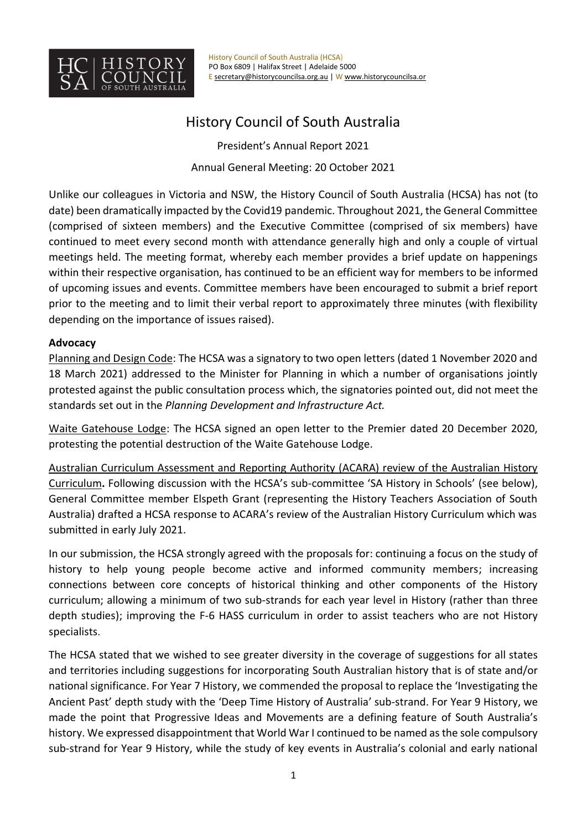

# History Council of South Australia

President's Annual Report 2021 Annual General Meeting: 20 October 2021

Unlike our colleagues in Victoria and NSW, the History Council of South Australia (HCSA) has not (to date) been dramatically impacted by the Covid19 pandemic. Throughout 2021, the General Committee (comprised of sixteen members) and the Executive Committee (comprised of six members) have continued to meet every second month with attendance generally high and only a couple of virtual meetings held. The meeting format, whereby each member provides a brief update on happenings within their respective organisation, has continued to be an efficient way for members to be informed of upcoming issues and events. Committee members have been encouraged to submit a brief report prior to the meeting and to limit their verbal report to approximately three minutes (with flexibility depending on the importance of issues raised).

## **Advocacy**

Planning and Design Code: The HCSA was a signatory to two open letters (dated 1 November 2020 and 18 March 2021) addressed to the Minister for Planning in which a number of organisations jointly protested against the public consultation process which, the signatories pointed out, did not meet the standards set out in the *Planning Development and Infrastructure Act.* 

Waite Gatehouse Lodge: The HCSA signed an open letter to the Premier dated 20 December 2020, protesting the potential destruction of the Waite Gatehouse Lodge.

Australian Curriculum Assessment and Reporting Authority (ACARA) review of the Australian History Curriculum**.** Following discussion with the HCSA's sub-committee 'SA History in Schools' (see below), General Committee member Elspeth Grant (representing the History Teachers Association of South Australia) drafted a HCSA response to ACARA's review of the Australian History Curriculum which was submitted in early July 2021.

In our submission, the HCSA strongly agreed with the proposals for: continuing a focus on the study of history to help young people become active and informed community members; increasing connections between core concepts of historical thinking and other components of the History curriculum; allowing a minimum of two sub-strands for each year level in History (rather than three depth studies); improving the F-6 HASS curriculum in order to assist teachers who are not History specialists.

The HCSA stated that we wished to see greater diversity in the coverage of suggestions for all states and territories including suggestions for incorporating South Australian history that is of state and/or national significance. For Year 7 History, we commended the proposal to replace the 'Investigating the Ancient Past' depth study with the 'Deep Time History of Australia' sub-strand. For Year 9 History, we made the point that Progressive Ideas and Movements are a defining feature of South Australia's history. We expressed disappointment that World War I continued to be named as the sole compulsory sub-strand for Year 9 History, while the study of key events in Australia's colonial and early national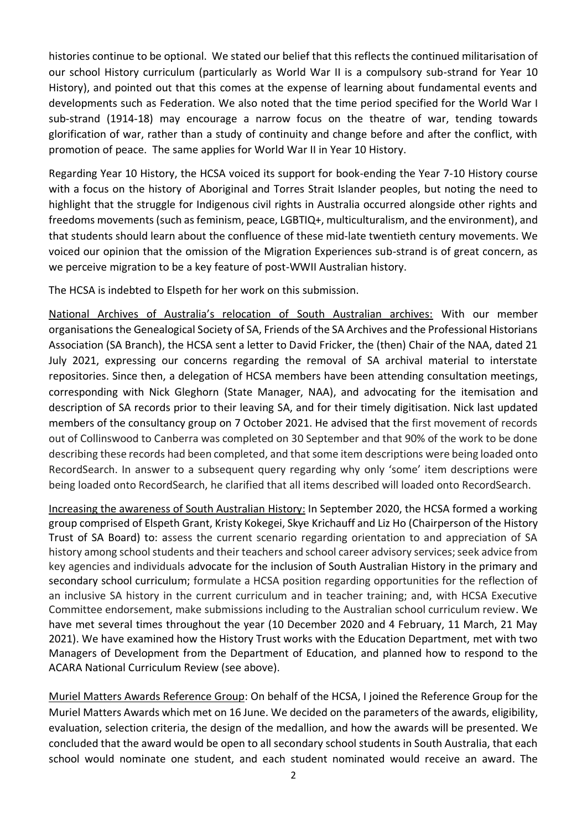histories continue to be optional. We stated our belief that this reflects the continued militarisation of our school History curriculum (particularly as World War II is a compulsory sub-strand for Year 10 History), and pointed out that this comes at the expense of learning about fundamental events and developments such as Federation. We also noted that the time period specified for the World War I sub-strand (1914-18) may encourage a narrow focus on the theatre of war, tending towards glorification of war, rather than a study of continuity and change before and after the conflict, with promotion of peace. The same applies for World War II in Year 10 History.

Regarding Year 10 History, the HCSA voiced its support for book-ending the Year 7-10 History course with a focus on the history of Aboriginal and Torres Strait Islander peoples, but noting the need to highlight that the struggle for Indigenous civil rights in Australia occurred alongside other rights and freedoms movements (such as feminism, peace, LGBTIQ+, multiculturalism, and the environment), and that students should learn about the confluence of these mid-late twentieth century movements. We voiced our opinion that the omission of the Migration Experiences sub-strand is of great concern, as we perceive migration to be a key feature of post-WWII Australian history.

The HCSA is indebted to Elspeth for her work on this submission.

National Archives of Australia's relocation of South Australian archives: With our member organisations the Genealogical Society of SA, Friends of the SA Archives and the Professional Historians Association (SA Branch), the HCSA sent a letter to David Fricker, the (then) Chair of the NAA, dated 21 July 2021, expressing our concerns regarding the removal of SA archival material to interstate repositories. Since then, a delegation of HCSA members have been attending consultation meetings, corresponding with Nick Gleghorn (State Manager, NAA), and advocating for the itemisation and description of SA records prior to their leaving SA, and for their timely digitisation. Nick last updated members of the consultancy group on 7 October 2021. He advised that the first movement of records out of Collinswood to Canberra was completed on 30 September and that 90% of the work to be done describing these records had been completed, and that some item descriptions were being loaded onto RecordSearch. In answer to a subsequent query regarding why only 'some' item descriptions were being loaded onto RecordSearch, he clarified that all items described will loaded onto RecordSearch.

Increasing the awareness of South Australian History: In September 2020, the HCSA formed a working group comprised of Elspeth Grant, Kristy Kokegei, Skye Krichauff and Liz Ho (Chairperson of the History Trust of SA Board) to: assess the current scenario regarding orientation to and appreciation of SA history among school students and their teachers and school career advisory services; seek advice from key agencies and individuals advocate for the inclusion of South Australian History in the primary and secondary school curriculum; formulate a HCSA position regarding opportunities for the reflection of an inclusive SA history in the current curriculum and in teacher training; and, with HCSA Executive Committee endorsement, make submissions including to the Australian school curriculum review. We have met several times throughout the year (10 December 2020 and 4 February, 11 March, 21 May 2021). We have examined how the History Trust works with the Education Department, met with two Managers of Development from the Department of Education, and planned how to respond to the ACARA National Curriculum Review (see above).

Muriel Matters Awards Reference Group: On behalf of the HCSA, I joined the Reference Group for the Muriel Matters Awards which met on 16 June. We decided on the parameters of the awards, eligibility, evaluation, selection criteria, the design of the medallion, and how the awards will be presented. We concluded that the award would be open to all secondary school students in South Australia, that each school would nominate one student, and each student nominated would receive an award. The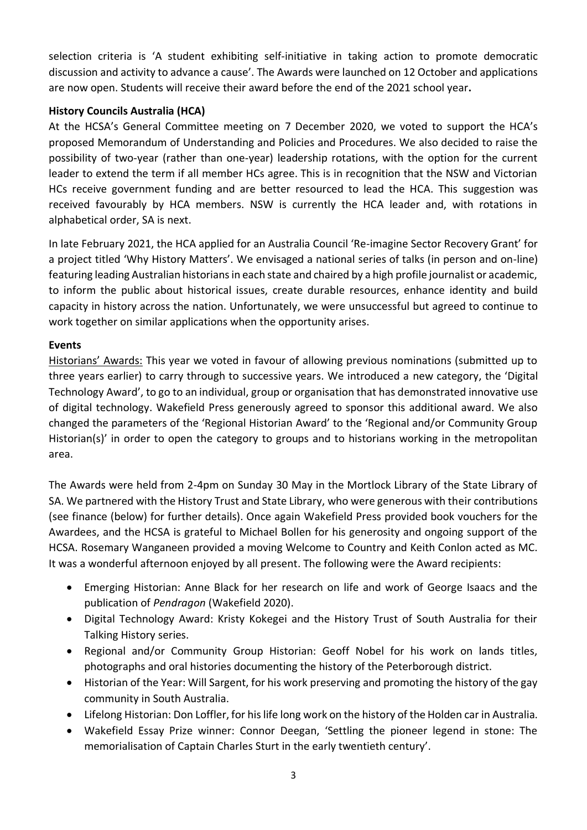selection criteria is 'A student exhibiting self-initiative in taking action to promote democratic discussion and activity to advance a cause'. The Awards were launched on 12 October and applications are now open. Students will receive their award before the end of the 2021 school year**.** 

# **History Councils Australia (HCA)**

At the HCSA's General Committee meeting on 7 December 2020, we voted to support the HCA's proposed Memorandum of Understanding and Policies and Procedures. We also decided to raise the possibility of two-year (rather than one-year) leadership rotations, with the option for the current leader to extend the term if all member HCs agree. This is in recognition that the NSW and Victorian HCs receive government funding and are better resourced to lead the HCA. This suggestion was received favourably by HCA members. NSW is currently the HCA leader and, with rotations in alphabetical order, SA is next.

In late February 2021, the HCA applied for an Australia Council 'Re-imagine Sector Recovery Grant' for a project titled 'Why History Matters'. We envisaged a national series of talks (in person and on-line) featuring leading Australian historians in each state and chaired by a high profile journalist or academic, to inform the public about historical issues, create durable resources, enhance identity and build capacity in history across the nation. Unfortunately, we were unsuccessful but agreed to continue to work together on similar applications when the opportunity arises.

# **Events**

Historians' Awards: This year we voted in favour of allowing previous nominations (submitted up to three years earlier) to carry through to successive years. We introduced a new category, the 'Digital Technology Award', to go to an individual, group or organisation that has demonstrated innovative use of digital technology. Wakefield Press generously agreed to sponsor this additional award. We also changed the parameters of the 'Regional Historian Award' to the 'Regional and/or Community Group Historian(s)' in order to open the category to groups and to historians working in the metropolitan area.

The Awards were held from 2-4pm on Sunday 30 May in the Mortlock Library of the State Library of SA. We partnered with the History Trust and State Library, who were generous with their contributions (see finance (below) for further details). Once again Wakefield Press provided book vouchers for the Awardees, and the HCSA is grateful to Michael Bollen for his generosity and ongoing support of the HCSA. Rosemary Wanganeen provided a moving Welcome to Country and Keith Conlon acted as MC. It was a wonderful afternoon enjoyed by all present. The following were the Award recipients:

- Emerging Historian: Anne Black for her research on life and work of George Isaacs and the publication of *Pendragon* (Wakefield 2020).
- Digital Technology Award: Kristy Kokegei and the History Trust of South Australia for their Talking History series.
- Regional and/or Community Group Historian: Geoff Nobel for his work on lands titles, photographs and oral histories documenting the history of the Peterborough district.
- Historian of the Year: Will Sargent, for his work preserving and promoting the history of the gay community in South Australia.
- Lifelong Historian: Don Loffler, for his life long work on the history of the Holden car in Australia.
- Wakefield Essay Prize winner: Connor Deegan, 'Settling the pioneer legend in stone: The memorialisation of Captain Charles Sturt in the early twentieth century'.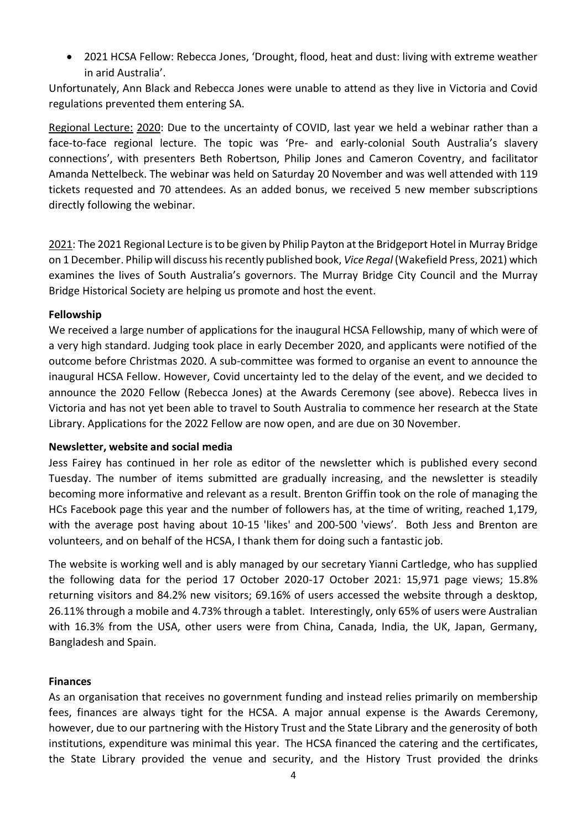• 2021 HCSA Fellow: Rebecca Jones, 'Drought, flood, heat and dust: living with extreme weather in arid Australia'.

Unfortunately, Ann Black and Rebecca Jones were unable to attend as they live in Victoria and Covid regulations prevented them entering SA.

Regional Lecture: 2020: Due to the uncertainty of COVID, last year we held a webinar rather than a face-to-face regional lecture. The topic was 'Pre- and early-colonial South Australia's slavery connections', with presenters Beth Robertson, Philip Jones and Cameron Coventry, and facilitator Amanda Nettelbeck. The webinar was held on Saturday 20 November and was well attended with 119 tickets requested and 70 attendees. As an added bonus, we received 5 new member subscriptions directly following the webinar.

2021: The 2021 Regional Lecture is to be given by Philip Payton at the Bridgeport Hotel in Murray Bridge on 1 December. Philip will discuss his recently published book, *Vice Regal* (Wakefield Press, 2021) which examines the lives of South Australia's governors. The Murray Bridge City Council and the Murray Bridge Historical Society are helping us promote and host the event.

#### **Fellowship**

We received a large number of applications for the inaugural HCSA Fellowship, many of which were of a very high standard. Judging took place in early December 2020, and applicants were notified of the outcome before Christmas 2020. A sub-committee was formed to organise an event to announce the inaugural HCSA Fellow. However, Covid uncertainty led to the delay of the event, and we decided to announce the 2020 Fellow (Rebecca Jones) at the Awards Ceremony (see above). Rebecca lives in Victoria and has not yet been able to travel to South Australia to commence her research at the State Library. Applications for the 2022 Fellow are now open, and are due on 30 November.

#### **Newsletter, website and social media**

Jess Fairey has continued in her role as editor of the newsletter which is published every second Tuesday. The number of items submitted are gradually increasing, and the newsletter is steadily becoming more informative and relevant as a result. Brenton Griffin took on the role of managing the HCs Facebook page this year and the number of followers has, at the time of writing, reached 1,179, with the average post having about 10-15 'likes' and 200-500 'views'. Both Jess and Brenton are volunteers, and on behalf of the HCSA, I thank them for doing such a fantastic job.

The website is working well and is ably managed by our secretary Yianni Cartledge, who has supplied the following data for the period 17 October 2020-17 October 2021: 15,971 page views; 15.8% returning visitors and 84.2% new visitors; 69.16% of users accessed the website through a desktop, 26.11% through a mobile and 4.73% through a tablet. Interestingly, only 65% of users were Australian with 16.3% from the USA, other users were from China, Canada, India, the UK, Japan, Germany, Bangladesh and Spain.

## **Finances**

As an organisation that receives no government funding and instead relies primarily on membership fees, finances are always tight for the HCSA. A major annual expense is the Awards Ceremony, however, due to our partnering with the History Trust and the State Library and the generosity of both institutions, expenditure was minimal this year. The HCSA financed the catering and the certificates, the State Library provided the venue and security, and the History Trust provided the drinks